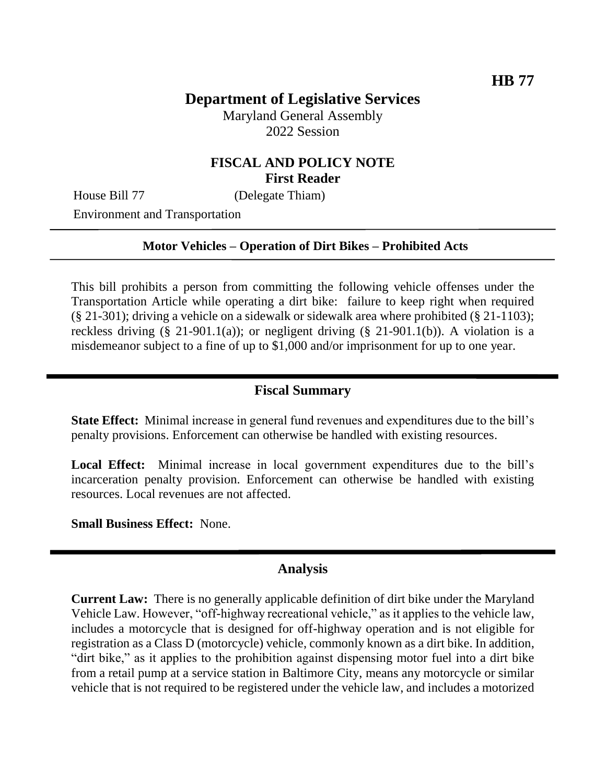# **Department of Legislative Services**

Maryland General Assembly 2022 Session

## **FISCAL AND POLICY NOTE First Reader**

House Bill 77 (Delegate Thiam)

Environment and Transportation

#### **Motor Vehicles – Operation of Dirt Bikes – Prohibited Acts**

This bill prohibits a person from committing the following vehicle offenses under the Transportation Article while operating a dirt bike: failure to keep right when required (§ 21-301); driving a vehicle on a sidewalk or sidewalk area where prohibited (§ 21-1103); reckless driving  $(\S 21-901.1(a))$ ; or negligent driving  $(\S 21-901.1(b))$ . A violation is a misdemeanor subject to a fine of up to \$1,000 and/or imprisonment for up to one year.

#### **Fiscal Summary**

**State Effect:** Minimal increase in general fund revenues and expenditures due to the bill's penalty provisions. Enforcement can otherwise be handled with existing resources.

**Local Effect:** Minimal increase in local government expenditures due to the bill's incarceration penalty provision. Enforcement can otherwise be handled with existing resources. Local revenues are not affected.

**Small Business Effect:** None.

#### **Analysis**

**Current Law:** There is no generally applicable definition of dirt bike under the Maryland Vehicle Law. However, "off-highway recreational vehicle," as it applies to the vehicle law, includes a motorcycle that is designed for off-highway operation and is not eligible for registration as a Class D (motorcycle) vehicle, commonly known as a dirt bike. In addition, "dirt bike," as it applies to the prohibition against dispensing motor fuel into a dirt bike from a retail pump at a service station in Baltimore City, means any motorcycle or similar vehicle that is not required to be registered under the vehicle law, and includes a motorized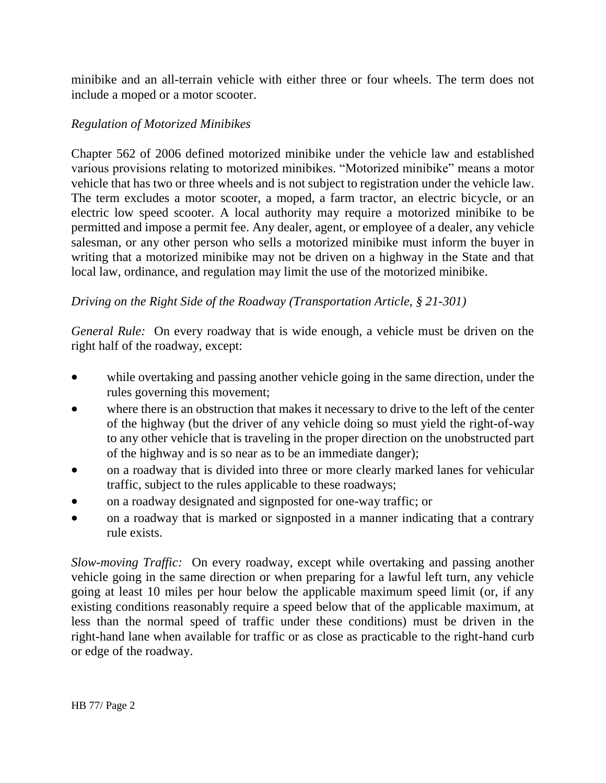minibike and an all-terrain vehicle with either three or four wheels. The term does not include a moped or a motor scooter.

### *Regulation of Motorized Minibikes*

Chapter 562 of 2006 defined motorized minibike under the vehicle law and established various provisions relating to motorized minibikes. "Motorized minibike" means a motor vehicle that has two or three wheels and is not subject to registration under the vehicle law. The term excludes a motor scooter, a moped, a farm tractor, an electric bicycle, or an electric low speed scooter. A local authority may require a motorized minibike to be permitted and impose a permit fee. Any dealer, agent, or employee of a dealer, any vehicle salesman, or any other person who sells a motorized minibike must inform the buyer in writing that a motorized minibike may not be driven on a highway in the State and that local law, ordinance, and regulation may limit the use of the motorized minibike.

## *Driving on the Right Side of the Roadway (Transportation Article, § 21-301)*

*General Rule:* On every roadway that is wide enough, a vehicle must be driven on the right half of the roadway, except:

- while overtaking and passing another vehicle going in the same direction, under the rules governing this movement;
- where there is an obstruction that makes it necessary to drive to the left of the center of the highway (but the driver of any vehicle doing so must yield the right-of-way to any other vehicle that is traveling in the proper direction on the unobstructed part of the highway and is so near as to be an immediate danger);
- on a roadway that is divided into three or more clearly marked lanes for vehicular traffic, subject to the rules applicable to these roadways;
- on a roadway designated and signposted for one-way traffic; or
- on a roadway that is marked or signposted in a manner indicating that a contrary rule exists.

*Slow-moving Traffic:* On every roadway, except while overtaking and passing another vehicle going in the same direction or when preparing for a lawful left turn, any vehicle going at least 10 miles per hour below the applicable maximum speed limit (or, if any existing conditions reasonably require a speed below that of the applicable maximum, at less than the normal speed of traffic under these conditions) must be driven in the right-hand lane when available for traffic or as close as practicable to the right-hand curb or edge of the roadway.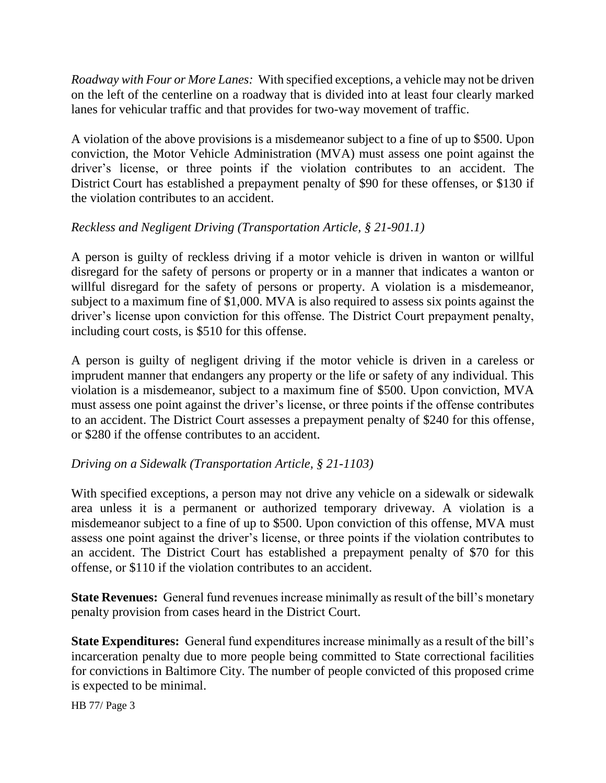*Roadway with Four or More Lanes:* With specified exceptions, a vehicle may not be driven on the left of the centerline on a roadway that is divided into at least four clearly marked lanes for vehicular traffic and that provides for two-way movement of traffic.

A violation of the above provisions is a misdemeanor subject to a fine of up to \$500. Upon conviction, the Motor Vehicle Administration (MVA) must assess one point against the driver's license, or three points if the violation contributes to an accident. The District Court has established a prepayment penalty of \$90 for these offenses, or \$130 if the violation contributes to an accident.

### *Reckless and Negligent Driving (Transportation Article, § 21-901.1)*

A person is guilty of reckless driving if a motor vehicle is driven in wanton or willful disregard for the safety of persons or property or in a manner that indicates a wanton or willful disregard for the safety of persons or property. A violation is a misdemeanor, subject to a maximum fine of \$1,000. MVA is also required to assess six points against the driver's license upon conviction for this offense. The District Court prepayment penalty, including court costs, is \$510 for this offense.

A person is guilty of negligent driving if the motor vehicle is driven in a careless or imprudent manner that endangers any property or the life or safety of any individual. This violation is a misdemeanor, subject to a maximum fine of \$500. Upon conviction, MVA must assess one point against the driver's license, or three points if the offense contributes to an accident. The District Court assesses a prepayment penalty of \$240 for this offense, or \$280 if the offense contributes to an accident.

## *Driving on a Sidewalk (Transportation Article, § 21-1103)*

With specified exceptions, a person may not drive any vehicle on a sidewalk or sidewalk area unless it is a permanent or authorized temporary driveway. A violation is a misdemeanor subject to a fine of up to \$500. Upon conviction of this offense, MVA must assess one point against the driver's license, or three points if the violation contributes to an accident. The District Court has established a prepayment penalty of \$70 for this offense, or \$110 if the violation contributes to an accident.

**State Revenues:** General fund revenues increase minimally as result of the bill's monetary penalty provision from cases heard in the District Court.

**State Expenditures:** General fund expenditures increase minimally as a result of the bill's incarceration penalty due to more people being committed to State correctional facilities for convictions in Baltimore City. The number of people convicted of this proposed crime is expected to be minimal.

HB 77/ Page 3